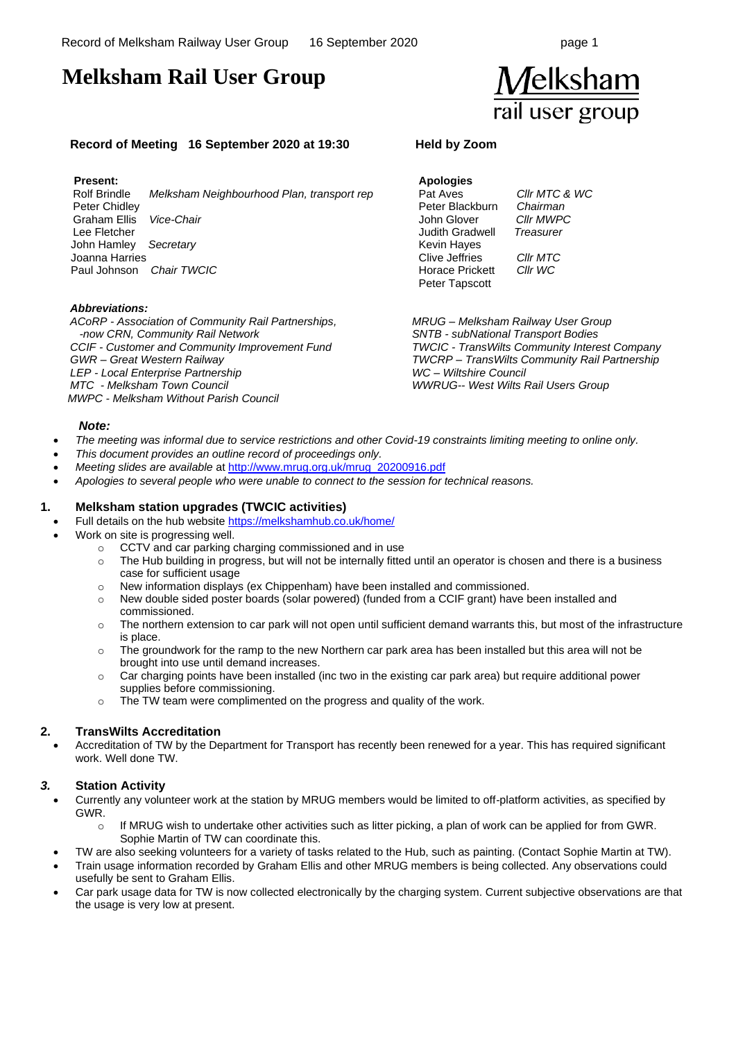# **Melksham Rail User Group**



#### **Record of Meeting 16 September 2020 at 19:30 Held by Zoom**

#### **Present:**

 Rolf Brindle *Melksham Neighbourhood Plan, transport rep* Peter Chidley Graham Ellis *Vice-Chair* Lee Fletcher John Hamley *Secretary* Joanna Harries Paul Johnson *Chair TWCIC* 

#### *Abbreviations:*

*ACoRP - Association of Community Rail Partnerships, -now CRN, Community Rail Network CCIF - Customer and Community Improvement Fund GWR – Great Western Railway LEP - Local Enterprise Partnership MTC - Melksham Town Council MWPC - Melksham Without Parish Council*

## **Apologies**

Pat Aves *Cllr MTC & WC* Peter Blackburn *Chairman*  John Glover *Cllr MWPC* Judith Gradwell *Treasurer* Kevin Hayes Clive Jeffries *Cllr MTC* Horace Prickett *Cllr WC* Peter Tapscott

*MRUG – Melksham Railway User Group SNTB - subNational Transport Bodies TWCIC - TransWilts Community Interest Company TWCRP – TransWilts Community Rail Partnership WC – Wiltshire Council WWRUG-- West Wilts Rail Users Group*

#### *Note:*

- *The meeting was informal due to service restrictions and other Covid-19 constraints limiting meeting to online only.*
- *This document provides an outline record of proceedings only.*
- *Meeting slides are available* a[t http://www.mrug.org.uk/mrug\\_20200916.pdf](http://www.mrug.org.uk/mrug_20200916.pdf)
- *Apologies to several people who were unable to connect to the session for technical reasons.*

#### **1. Melksham station upgrades (TWCIC activities)**

- Full details on the hub websit[e https://melkshamhub.co.uk/home/](https://melkshamhub.co.uk/home/)
- Work on site is progressing well.
	- o CCTV and car parking charging commissioned and in use
	- $\circ$  The Hub building in progress, but will not be internally fitted until an operator is chosen and there is a business case for sufficient usage
	- $\circ$  New information displays (ex Chippenham) have been installed and commissioned.
	- o New double sided poster boards (solar powered) (funded from a CCIF grant) have been installed and commissioned.
	- $\circ$  The northern extension to car park will not open until sufficient demand warrants this, but most of the infrastructure is place.
	- o The groundwork for the ramp to the new Northern car park area has been installed but this area will not be brought into use until demand increases.
	- $\circ$  Car charging points have been installed (inc two in the existing car park area) but require additional power supplies before commissioning.
	- o The TW team were complimented on the progress and quality of the work.

#### **2. TransWilts Accreditation**

• Accreditation of TW by the Department for Transport has recently been renewed for a year. This has required significant work. Well done TW.

#### *3.* **Station Activity**

- Currently any volunteer work at the station by MRUG members would be limited to off-platform activities, as specified by GWR.
	- If MRUG wish to undertake other activities such as litter picking, a plan of work can be applied for from GWR. Sophie Martin of TW can coordinate this.
	- TW are also seeking volunteers for a variety of tasks related to the Hub, such as painting. (Contact Sophie Martin at TW).
- Train usage information recorded by Graham Ellis and other MRUG members is being collected. Any observations could usefully be sent to Graham Ellis.
- Car park usage data for TW is now collected electronically by the charging system. Current subjective observations are that the usage is very low at present.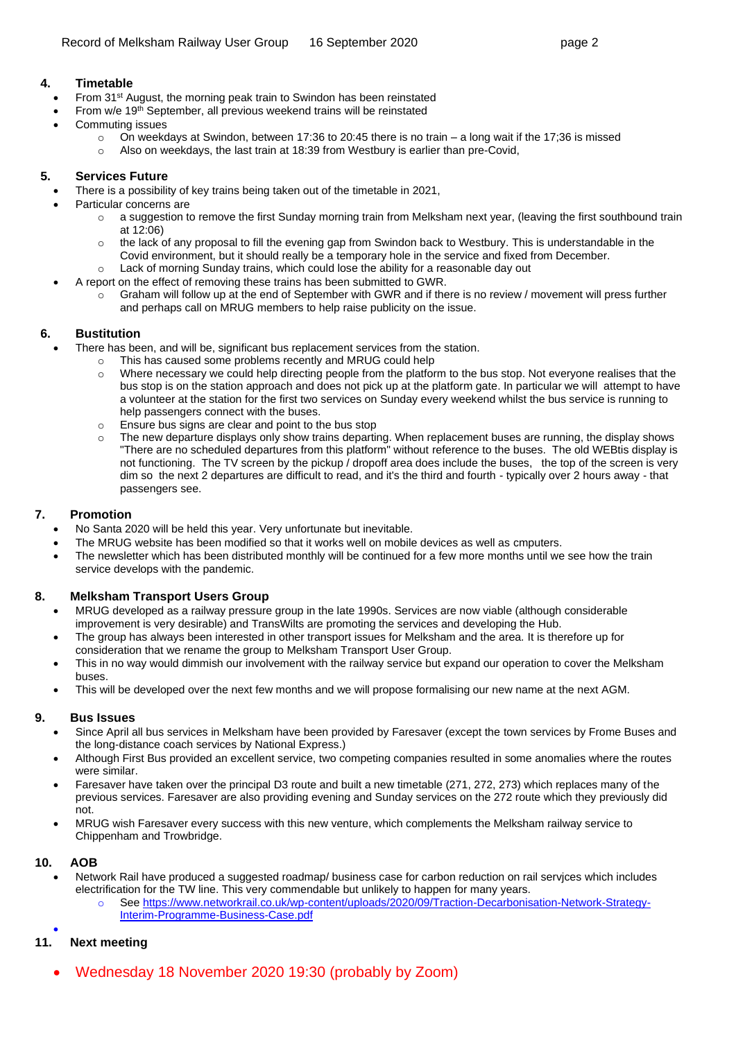#### **4. Timetable**

- From 31<sup>st</sup> August, the morning peak train to Swindon has been reinstated
- From  $w/e 19<sup>th</sup>$  September, all previous weekend trains will be reinstated
- Commuting issues
	- $\circ$  On weekdays at Swindon, between 17:36 to 20:45 there is no train a long wait if the 17;36 is missed
	- o Also on weekdays, the last train at 18:39 from Westbury is earlier than pre-Covid,

#### **5. Services Future**

- There is a possibility of key trains being taken out of the timetable in 2021,
- Particular concerns are
	- o a suggestion to remove the first Sunday morning train from Melksham next year, (leaving the first southbound train at 12:06)
	- $\circ$  the lack of any proposal to fill the evening gap from Swindon back to Westbury. This is understandable in the Covid environment, but it should really be a temporary hole in the service and fixed from December.
	- o Lack of morning Sunday trains, which could lose the ability for a reasonable day out
	- A report on the effect of removing these trains has been submitted to GWR.
		- o Graham will follow up at the end of September with GWR and if there is no review / movement will press further and perhaps call on MRUG members to help raise publicity on the issue.

#### **6. Bustitution**

- There has been, and will be, significant bus replacement services from the station.
	- o This has caused some problems recently and MRUG could help
		- o Where necessary we could help directing people from the platform to the bus stop. Not everyone realises that the bus stop is on the station approach and does not pick up at the platform gate. In particular we will attempt to have a volunteer at the station for the first two services on Sunday every weekend whilst the bus service is running to help passengers connect with the buses.
		- o Ensure bus signs are clear and point to the bus stop
		- o The new departure displays only show trains departing. When replacement buses are running, the display shows "There are no scheduled departures from this platform" without reference to the buses. The old WEBtis display is not functioning. The TV screen by the pickup / dropoff area does include the buses, the top of the screen is very dim so the next 2 departures are difficult to read, and it's the third and fourth - typically over 2 hours away - that passengers see.

### **7. Promotion**

- No Santa 2020 will be held this year. Very unfortunate but inevitable.
- The MRUG website has been modified so that it works well on mobile devices as well as cmputers.
- The newsletter which has been distributed monthly will be continued for a few more months until we see how the train service develops with the pandemic.

#### **8. Melksham Transport Users Group**

- MRUG developed as a railway pressure group in the late 1990s. Services are now viable (although considerable improvement is very desirable) and TransWilts are promoting the services and developing the Hub.
- The group has always been interested in other transport issues for Melksham and the area. It is therefore up for consideration that we rename the group to Melksham Transport User Group.
- This in no way would dimmish our involvement with the railway service but expand our operation to cover the Melksham buses.
- This will be developed over the next few months and we will propose formalising our new name at the next AGM.

#### **9. Bus Issues**

- Since April all bus services in Melksham have been provided by Faresaver (except the town services by Frome Buses and the long-distance coach services by National Express.)
- Although First Bus provided an excellent service, two competing companies resulted in some anomalies where the routes were similar.
- Faresaver have taken over the principal D3 route and built a new timetable (271, 272, 273) which replaces many of the previous services. Faresaver are also providing evening and Sunday services on the 272 route which they previously did not.
- MRUG wish Faresaver every success with this new venture, which complements the Melksham railway service to Chippenham and Trowbridge.

#### **10. AOB**

- Network Rail have produced a suggested roadmap/ business case for carbon reduction on rail servjces which includes electrification for the TW line. This very commendable but unlikely to happen for many years.
	- o See [https://www.networkrail.co.uk/wp-content/uploads/2020/09/Traction-Decarbonisation-Network-Strategy-](https://www.networkrail.co.uk/wp-content/uploads/2020/09/Traction-Decarbonisation-Network-Strategy-Interim-Programme-Business-Case.pdf)[Interim-Programme-Business-Case.pdf](https://www.networkrail.co.uk/wp-content/uploads/2020/09/Traction-Decarbonisation-Network-Strategy-Interim-Programme-Business-Case.pdf)

#### • **11. Next meeting**

• Wednesday 18 November 2020 19:30 (probably by Zoom)